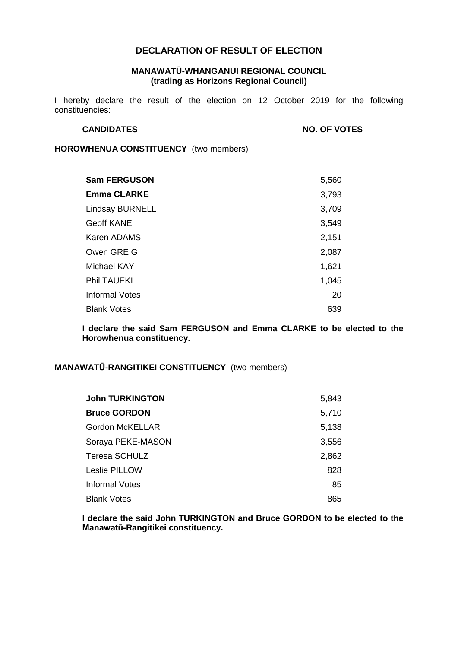# **DECLARATION OF RESULT OF ELECTION**

#### **MANAWATŪ-WHANGANUI REGIONAL COUNCIL (trading as Horizons Regional Council)**

I hereby declare the result of the election on 12 October 2019 for the following constituencies:

**CANDIDATES NO. OF VOTES**

**HOROWHENUA CONSTITUENCY** (two members)

| <b>Sam FERGUSON</b>   | 5,560 |
|-----------------------|-------|
| <b>Emma CLARKE</b>    | 3,793 |
| Lindsay BURNELL       | 3,709 |
| Geoff KANE            | 3,549 |
| Karen ADAMS           | 2,151 |
| Owen GREIG            | 2,087 |
| Michael KAY           | 1,621 |
| Phil TAUEKI           | 1,045 |
| <b>Informal Votes</b> | 20    |
| <b>Blank Votes</b>    | 639   |

**I declare the said Sam FERGUSON and Emma CLARKE to be elected to the Horowhenua constituency.**

### **MANAWATŪ-RANGITIKEI CONSTITUENCY** (two members)

| <b>John TURKINGTON</b> | 5,843 |
|------------------------|-------|
| <b>Bruce GORDON</b>    | 5,710 |
| Gordon McKELLAR        | 5,138 |
| Soraya PEKE-MASON      | 3,556 |
| Teresa SCHULZ          | 2,862 |
| Leslie PILLOW          | 828   |
| <b>Informal Votes</b>  | 85    |
| <b>Blank Votes</b>     | 865   |

**I declare the said John TURKINGTON and Bruce GORDON to be elected to the Manawatū-Rangitikei constituency.**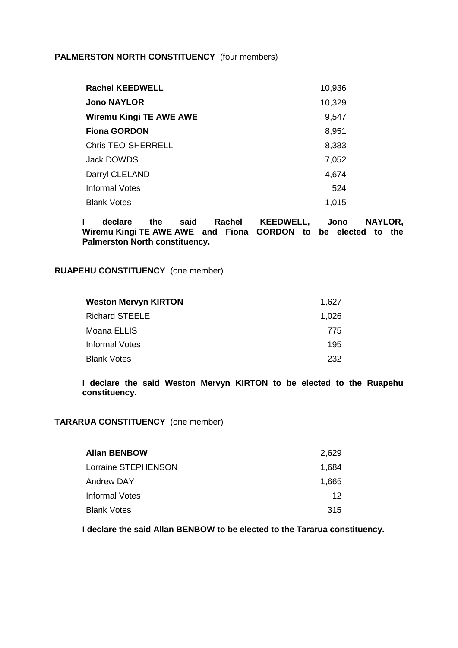# **PALMERSTON NORTH CONSTITUENCY** (four members)

| <b>Rachel KEEDWELL</b>  | 10,936 |
|-------------------------|--------|
| <b>Jono NAYLOR</b>      | 10,329 |
| Wiremu Kingi TE AWE AWE | 9,547  |
| <b>Fiona GORDON</b>     | 8,951  |
| Chris TEO-SHERRELL      | 8,383  |
| Jack DOWDS              | 7,052  |
| Darryl CLELAND          | 4,674  |
| <b>Informal Votes</b>   | 524    |
| <b>Blank Votes</b>      | 1,015  |

**I declare the said Rachel KEEDWELL, Jono NAYLOR, Wiremu Kingi TE AWE AWE and Fiona GORDON to be elected to the Palmerston North constituency.**

#### **RUAPEHU CONSTITUENCY** (one member)

| <b>Weston Mervyn KIRTON</b> | 1.627 |
|-----------------------------|-------|
| <b>Richard STEELE</b>       | 1,026 |
| Moana ELLIS                 | 775   |
| Informal Votes              | 195   |
| <b>Blank Votes</b>          | 232   |

**I declare the said Weston Mervyn KIRTON to be elected to the Ruapehu constituency.**

# **TARARUA CONSTITUENCY** (one member)

| <b>Allan BENBOW</b> | 2.629 |
|---------------------|-------|
| Lorraine STEPHENSON | 1.684 |
| Andrew DAY          | 1.665 |
| Informal Votes      | 12    |
| <b>Blank Votes</b>  | 315   |

**I declare the said Allan BENBOW to be elected to the Tararua constituency.**